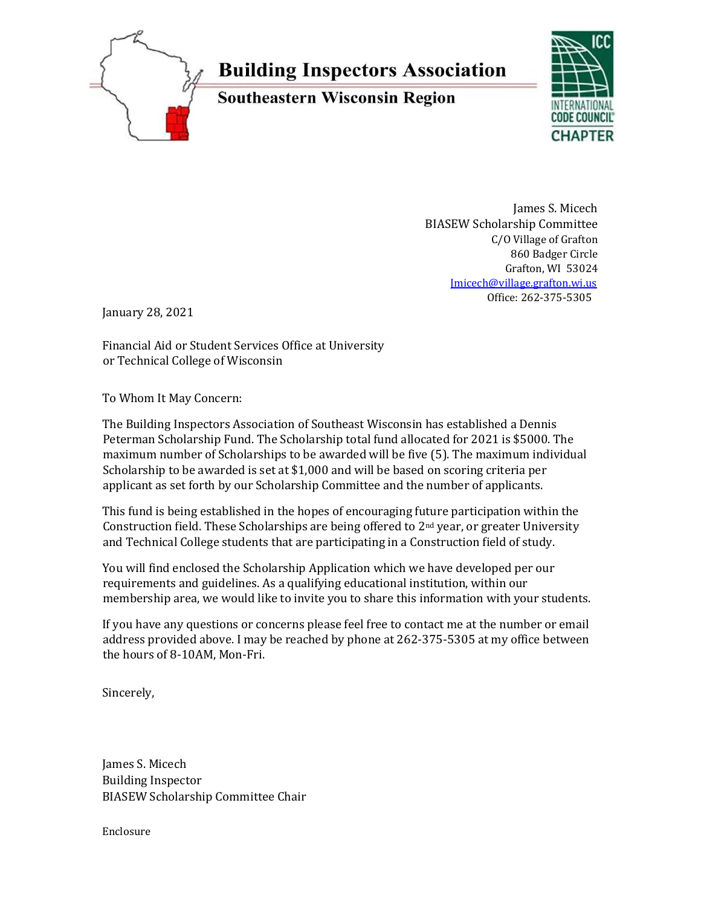

# **Building Inspectors Association**

**Southeastern Wisconsin Region** 



James S. Micech BIASEW Scholarship Committee C/O Village of Grafton 860 Badger Circle Grafton, WI 53024 Jmicech@village.grafton.wi.us Office: 262-375-5305

January 28, 2021

Financial Aid or Student Services Office at University or Technical College of Wisconsin

To Whom It May Concern:

The Building Inspectors Association of Southeast Wisconsin has established a Dennis Peterman Scholarship Fund. The Scholarship total fund allocated for 2021 is \$5000. The maximum number of Scholarships to be awarded will be five (5). The maximum individual Scholarship to be awarded is set at \$1,000 and will be based on scoring criteria per applicant as set forth by our Scholarship Committee and the number of applicants.

This fund is being established in the hopes of encouraging future participation within the Construction field. These Scholarships are being offered to  $2<sup>nd</sup>$  year, or greater University and Technical College students that are participating in a Construction field of study.

You will find enclosed the Scholarship Application which we have developed per our requirements and guidelines. As a qualifying educational institution, within our membership area, we would like to invite you to share this information with your students.

If you have any questions or concerns please feel free to contact me at the number or email address provided above. I may be reached by phone at 262-375-5305 at my office between the hours of 8-10AM, Mon-Fri.

Sincerely,

James S. Micech Building Inspector BIASEW Scholarship Committee Chair

Enclosure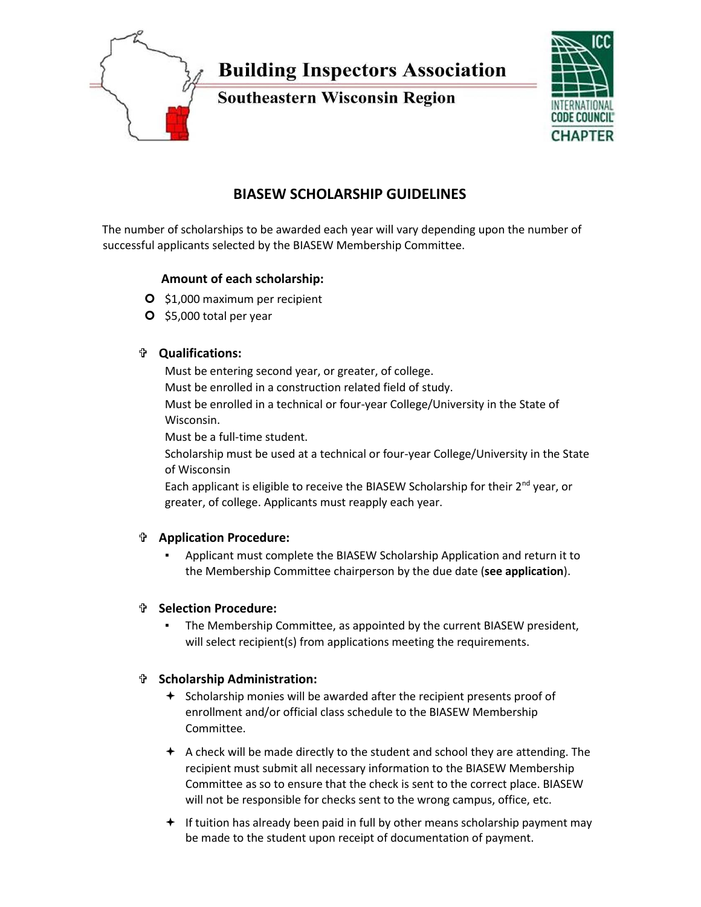

# **BIASEW SCHOLARSHIP GUIDELINES**

The number of scholarships to be awarded each year will vary depending upon the number of successful applicants selected by the BIASEW Membership Committee.

# **Amount of each scholarship:**

- **O** \$1,000 maximum per recipient
- O \$5,000 total per year

## **Qualifications:**

Must be entering second year, or greater, of college. Must be enrolled in a construction related field of study. Must be enrolled in a technical or four-year College/University in the State of Wisconsin.

Must be a full-time student.

Scholarship must be used at a technical or four-year College/University in the State of Wisconsin

Each applicant is eligible to receive the BIASEW Scholarship for their  $2^{nd}$  year, or greater, of college. Applicants must reapply each year.

## **Application Procedure:**

Applicant must complete the BIASEW Scholarship Application and return it to the Membership Committee chairperson by the due date (**see application**).

## **Selection Procedure:**

The Membership Committee, as appointed by the current BIASEW president, will select recipient(s) from applications meeting the requirements.

# **Scholarship Administration:**

- $\div$  Scholarship monies will be awarded after the recipient presents proof of enrollment and/or official class schedule to the BIASEW Membership Committee.
- $\triangle$  A check will be made directly to the student and school they are attending. The recipient must submit all necessary information to the BIASEW Membership Committee as so to ensure that the check is sent to the correct place. BIASEW will not be responsible for checks sent to the wrong campus, office, etc.
- $+$  If tuition has already been paid in full by other means scholarship payment may be made to the student upon receipt of documentation of payment.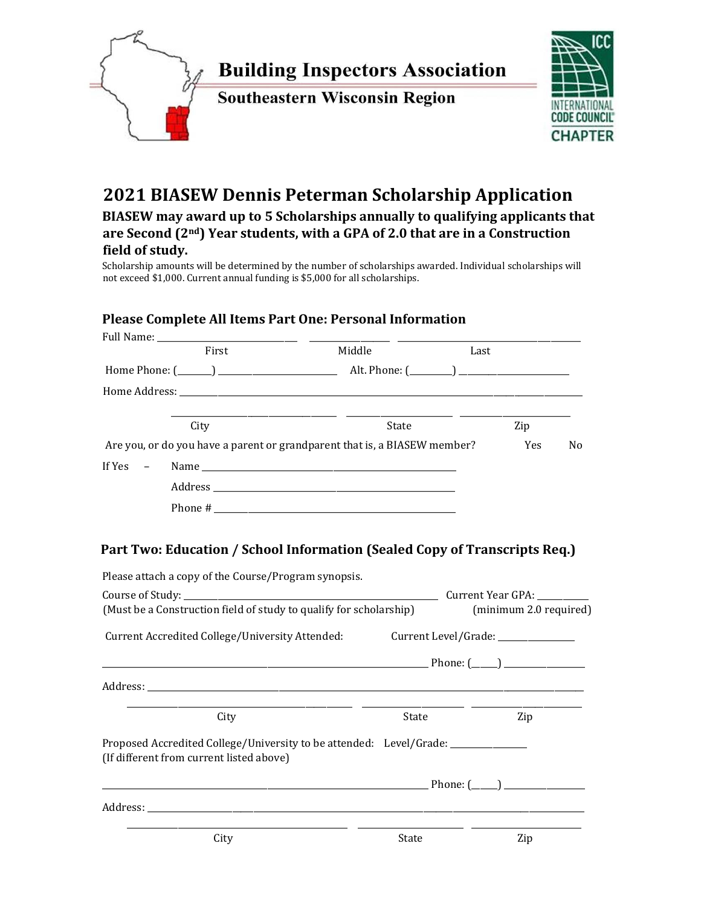

# **2021 BIASEW Dennis Peterman Scholarship Application**

**BIASEW may award up to 5 Scholarships annually to qualifying applicants that are Second (2nd) Year students, with a GPA of 2.0 that are in a Construction field of study.** 

Scholarship amounts will be determined by the number of scholarships awarded. Individual scholarships will not exceed \$1,000. Current annual funding is \$5,000 for all scholarships.

## **Please Complete All Items Part One: Personal Information**

|                    | First                                                                                                                                                                                                                          | Middle | Last                               |                        |    |
|--------------------|--------------------------------------------------------------------------------------------------------------------------------------------------------------------------------------------------------------------------------|--------|------------------------------------|------------------------|----|
|                    |                                                                                                                                                                                                                                |        |                                    |                        |    |
|                    | Home Address: North American State of the Address of the Address of the Address of the Address of the Address of the Address of the Address of the Address of the Address of the Address of the Address of the Address of the  |        |                                    |                        |    |
|                    | City                                                                                                                                                                                                                           | State  |                                    | Zip                    |    |
|                    | Are you, or do you have a parent or grandparent that is, a BIASEW member?                                                                                                                                                      |        |                                    | Yes                    | No |
| If Yes<br>$\equiv$ |                                                                                                                                                                                                                                |        |                                    |                        |    |
|                    |                                                                                                                                                                                                                                |        |                                    |                        |    |
|                    |                                                                                                                                                                                                                                |        |                                    |                        |    |
|                    |                                                                                                                                                                                                                                |        |                                    |                        |    |
|                    | Please attach a copy of the Course/Program synopsis.<br>Course of Study: Course of Study:<br>(Must be a Construction field of study to qualify for scholarship)                                                                |        |                                    | (minimum 2.0 required) |    |
|                    | Current Accredited College/University Attended:                                                                                                                                                                                |        | Current Level/Grade: _____________ |                        |    |
|                    |                                                                                                                                                                                                                                |        |                                    |                        |    |
|                    |                                                                                                                                                                                                                                |        |                                    |                        |    |
|                    | City                                                                                                                                                                                                                           | State  |                                    | Zip                    |    |
|                    | Proposed Accredited College/University to be attended: Level/Grade: ____________<br>(If different from current listed above)                                                                                                   |        |                                    |                        |    |
|                    |                                                                                                                                                                                                                                |        |                                    |                        |    |
|                    | Address: Note and the set of the set of the set of the set of the set of the set of the set of the set of the set of the set of the set of the set of the set of the set of the set of the set of the set of the set of the se |        |                                    |                        |    |
|                    | City                                                                                                                                                                                                                           | State  |                                    | Zip                    |    |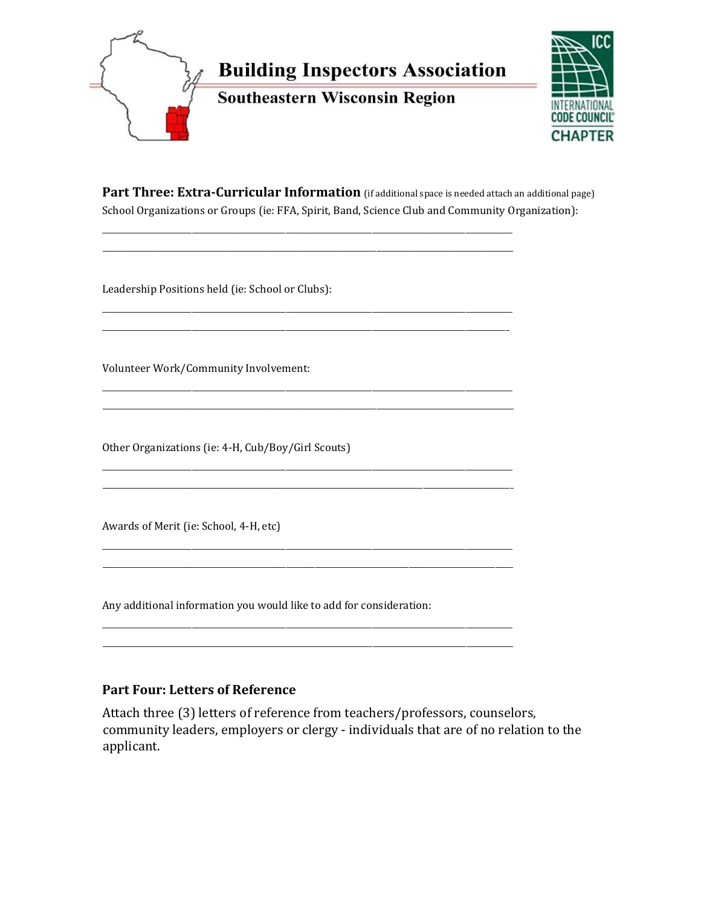



Part Three: Extra-Curricular Information (if additional space is needed attach an additional page) School Organizations or Groups (ie: FFA, Spirit, Band, Science Club and Community Organization):

Leadership Positions held (ie: School or Clubs):

Volunteer Work/Community Involvement:

Other Organizations (ie: 4-H, Cub/Boy/Girl Scouts)

Awards of Merit (ie: School, 4-H, etc)

Any additional information you would like to add for consideration:

# **Part Four: Letters of Reference**

Attach three (3) letters of reference from teachers/professors, counselors, community leaders, employers or clergy - individuals that are of no relation to the applicant.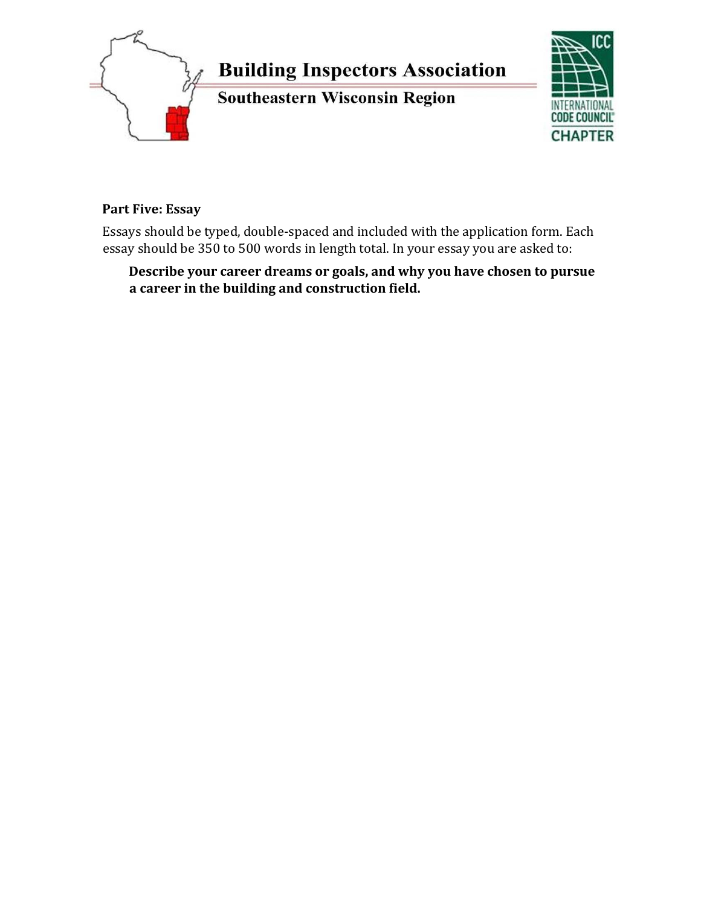

**Part Five: Essay** 

Essays should be typed, double-spaced and included with the application form. Each essay should be 350 to 500 words in length total. In your essay you are asked to:

# **Describe your career dreams or goals, and why you have chosen to pursue a career in the building and construction field.**